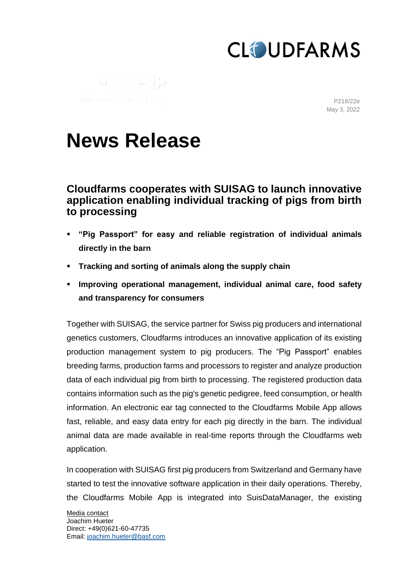

P218/22e May 3, 2022

# **News Release**

## **Cloudfarms cooperates with SUISAG to launch innovative application enabling individual tracking of pigs from birth to processing**

- **"Pig Passport" for easy and reliable registration of individual animals directly in the barn**
- **Tracking and sorting of animals along the supply chain**
- Improving operational management, individual animal care, food safety **and transparency for consumers**

Together with SUISAG, the service partner for Swiss pig producers and international genetics customers, Cloudfarms introduces an innovative application of its existing production management system to pig producers. The "Pig Passport" enables breeding farms, production farms and processors to register and analyze production data of each individual pig from birth to processing. The registered production data contains information such as the pig's genetic pedigree, feed consumption, or health information. An electronic ear tag connected to the Cloudfarms Mobile App allows fast, reliable, and easy data entry for each pig directly in the barn. The individual animal data are made available in real-time reports through the Cloudfarms web application.

In cooperation with SUISAG first pig producers from Switzerland and Germany have started to test the innovative software application in their daily operations. Thereby, the Cloudfarms Mobile App is integrated into SuisDataManager, the existing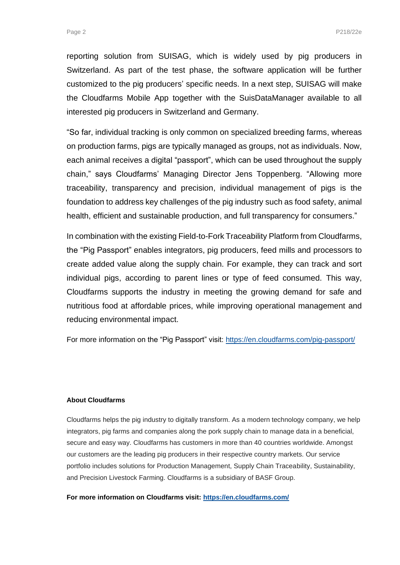reporting solution from SUISAG, which is widely used by pig producers in Switzerland. As part of the test phase, the software application will be further customized to the pig producers' specific needs. In a next step, SUISAG will make the Cloudfarms Mobile App together with the SuisDataManager available to all interested pig producers in Switzerland and Germany.

"So far, individual tracking is only common on specialized breeding farms, whereas on production farms, pigs are typically managed as groups, not as individuals. Now, each animal receives a digital "passport", which can be used throughout the supply chain," says Cloudfarms' Managing Director Jens Toppenberg. "Allowing more traceability, transparency and precision, individual management of pigs is the foundation to address key challenges of the pig industry such as food safety, animal health, efficient and sustainable production, and full transparency for consumers."

In combination with the existing Field-to-Fork Traceability Platform from Cloudfarms, the "Pig Passport" enables integrators, pig producers, feed mills and processors to create added value along the supply chain. For example, they can track and sort individual pigs, according to parent lines or type of feed consumed. This way, Cloudfarms supports the industry in meeting the growing demand for safe and nutritious food at affordable prices, while improving operational management and reducing environmental impact.

For more information on the "Pig Passport" visit:<https://en.cloudfarms.com/pig-passport/>

#### **About Cloudfarms**

Cloudfarms helps the pig industry to digitally transform. As a modern technology company, we help integrators, pig farms and companies along the pork supply chain to manage data in a beneficial, secure and easy way. Cloudfarms has customers in more than 40 countries worldwide. Amongst our customers are the leading pig producers in their respective country markets. Our service portfolio includes solutions for Production Management, Supply Chain Traceability, Sustainability, and Precision Livestock Farming. Cloudfarms is a subsidiary of BASF Group.

#### **For more information on Cloudfarms visit:<https://en.cloudfarms.com/>**